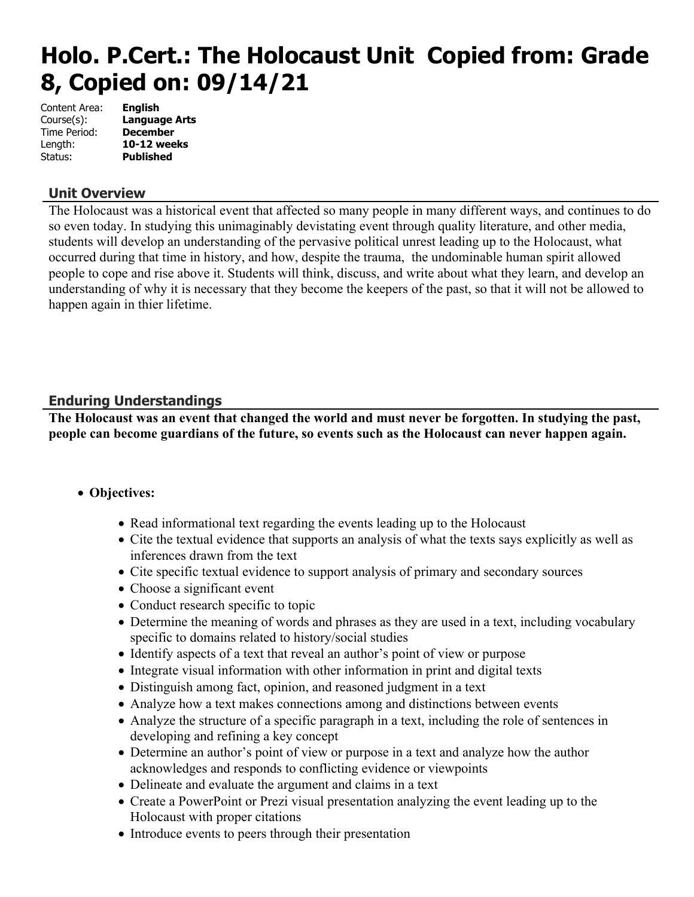# **Holo. P.Cert.: The Holocaust Unit Copied from: Grade 8, Copied on: 09/14/21**

| <b>English</b>       |
|----------------------|
| <b>Language Arts</b> |
| <b>December</b>      |
| 10-12 weeks          |
| <b>Published</b>     |
|                      |

# **Unit Overview**

The Holocaust was a historical event that affected so many people in many different ways, and continues to do so even today. In studying this unimaginably devistating event through quality literature, and other media, students will develop an understanding of the pervasive political unrest leading up to the Holocaust, what occurred during that time in history, and how, despite the trauma, the undominable human spirit allowed people to cope and rise above it. Students will think, discuss, and write about what they learn, and develop an understanding of why it is necessary that they become the keepers of the past, so that it will not be allowed to happen again in thier lifetime.

# **Enduring Understandings**

**The Holocaust was an event that changed the world and must never be forgotten. In studying the past, people can become guardians of the future, so events such as the Holocaust can never happen again.** 

# **Objectives:**

- Read informational text regarding the events leading up to the Holocaust
- Cite the textual evidence that supports an analysis of what the texts says explicitly as well as inferences drawn from the text
- Cite specific textual evidence to support analysis of primary and secondary sources
- Choose a significant event
- Conduct research specific to topic
- Determine the meaning of words and phrases as they are used in a text, including vocabulary specific to domains related to history/social studies
- Identify aspects of a text that reveal an author's point of view or purpose
- Integrate visual information with other information in print and digital texts
- Distinguish among fact, opinion, and reasoned judgment in a text
- Analyze how a text makes connections among and distinctions between events
- Analyze the structure of a specific paragraph in a text, including the role of sentences in developing and refining a key concept
- Determine an author's point of view or purpose in a text and analyze how the author acknowledges and responds to conflicting evidence or viewpoints
- Delineate and evaluate the argument and claims in a text
- Create a PowerPoint or Prezi visual presentation analyzing the event leading up to the Holocaust with proper citations
- Introduce events to peers through their presentation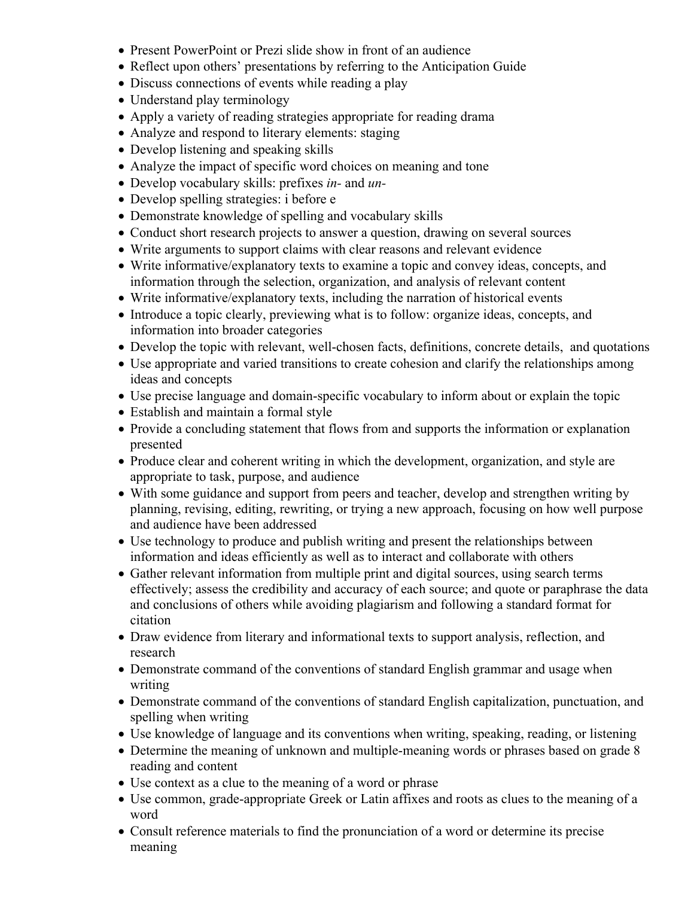- Present PowerPoint or Prezi slide show in front of an audience
- Reflect upon others' presentations by referring to the Anticipation Guide
- Discuss connections of events while reading a play
- Understand play terminology
- Apply a variety of reading strategies appropriate for reading drama
- Analyze and respond to literary elements: staging
- Develop listening and speaking skills
- Analyze the impact of specific word choices on meaning and tone
- Develop vocabulary skills: prefixes *in-* and *un-*
- Develop spelling strategies: i before e
- Demonstrate knowledge of spelling and vocabulary skills
- Conduct short research projects to answer a question, drawing on several sources
- Write arguments to support claims with clear reasons and relevant evidence
- Write informative/explanatory texts to examine a topic and convey ideas, concepts, and information through the selection, organization, and analysis of relevant content
- Write informative/explanatory texts, including the narration of historical events
- Introduce a topic clearly, previewing what is to follow: organize ideas, concepts, and information into broader categories
- Develop the topic with relevant, well-chosen facts, definitions, concrete details, and quotations
- Use appropriate and varied transitions to create cohesion and clarify the relationships among ideas and concepts
- Use precise language and domain-specific vocabulary to inform about or explain the topic
- Establish and maintain a formal style
- Provide a concluding statement that flows from and supports the information or explanation presented
- Produce clear and coherent writing in which the development, organization, and style are appropriate to task, purpose, and audience
- With some guidance and support from peers and teacher, develop and strengthen writing by planning, revising, editing, rewriting, or trying a new approach, focusing on how well purpose and audience have been addressed
- Use technology to produce and publish writing and present the relationships between information and ideas efficiently as well as to interact and collaborate with others
- Gather relevant information from multiple print and digital sources, using search terms effectively; assess the credibility and accuracy of each source; and quote or paraphrase the data and conclusions of others while avoiding plagiarism and following a standard format for citation
- Draw evidence from literary and informational texts to support analysis, reflection, and research
- Demonstrate command of the conventions of standard English grammar and usage when writing
- Demonstrate command of the conventions of standard English capitalization, punctuation, and spelling when writing
- Use knowledge of language and its conventions when writing, speaking, reading, or listening
- Determine the meaning of unknown and multiple-meaning words or phrases based on grade 8 reading and content
- Use context as a clue to the meaning of a word or phrase
- Use common, grade-appropriate Greek or Latin affixes and roots as clues to the meaning of a word
- Consult reference materials to find the pronunciation of a word or determine its precise meaning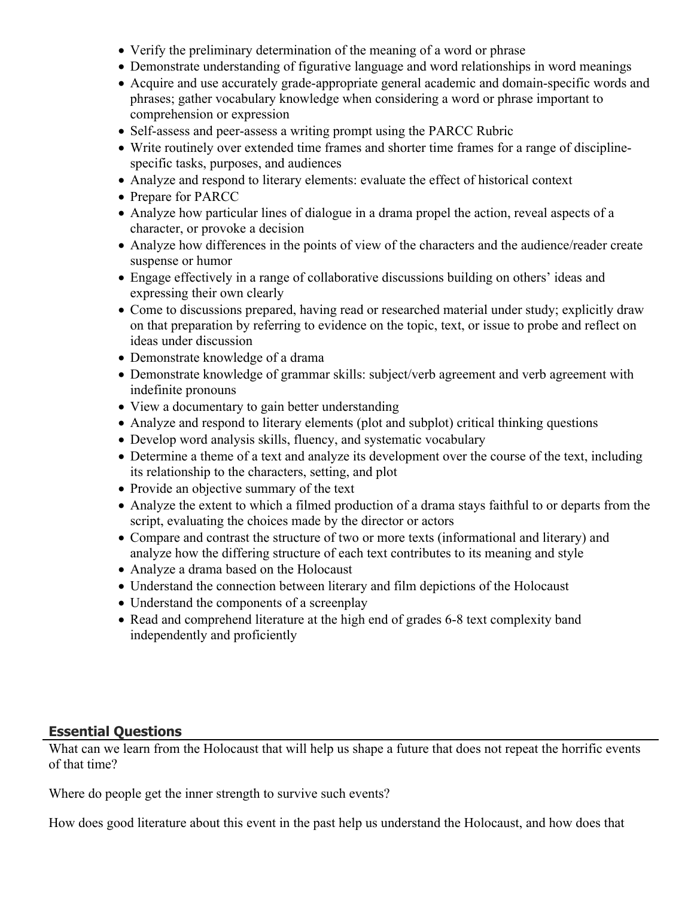- Verify the preliminary determination of the meaning of a word or phrase
- Demonstrate understanding of figurative language and word relationships in word meanings
- Acquire and use accurately grade-appropriate general academic and domain-specific words and phrases; gather vocabulary knowledge when considering a word or phrase important to comprehension or expression
- Self-assess and peer-assess a writing prompt using the PARCC Rubric
- Write routinely over extended time frames and shorter time frames for a range of disciplinespecific tasks, purposes, and audiences
- Analyze and respond to literary elements: evaluate the effect of historical context
- Prepare for PARCC
- Analyze how particular lines of dialogue in a drama propel the action, reveal aspects of a character, or provoke a decision
- Analyze how differences in the points of view of the characters and the audience/reader create suspense or humor
- Engage effectively in a range of collaborative discussions building on others' ideas and expressing their own clearly
- Come to discussions prepared, having read or researched material under study; explicitly draw on that preparation by referring to evidence on the topic, text, or issue to probe and reflect on ideas under discussion
- Demonstrate knowledge of a drama
- Demonstrate knowledge of grammar skills: subject/verb agreement and verb agreement with indefinite pronouns
- View a documentary to gain better understanding
- Analyze and respond to literary elements (plot and subplot) critical thinking questions
- Develop word analysis skills, fluency, and systematic vocabulary
- Determine a theme of a text and analyze its development over the course of the text, including its relationship to the characters, setting, and plot
- Provide an objective summary of the text
- Analyze the extent to which a filmed production of a drama stays faithful to or departs from the script, evaluating the choices made by the director or actors
- Compare and contrast the structure of two or more texts (informational and literary) and analyze how the differing structure of each text contributes to its meaning and style
- Analyze a drama based on the Holocaust
- Understand the connection between literary and film depictions of the Holocaust
- Understand the components of a screenplay
- Read and comprehend literature at the high end of grades 6-8 text complexity band independently and proficiently

# **Essential Questions**

What can we learn from the Holocaust that will help us shape a future that does not repeat the horrific events of that time?

Where do people get the inner strength to survive such events?

How does good literature about this event in the past help us understand the Holocaust, and how does that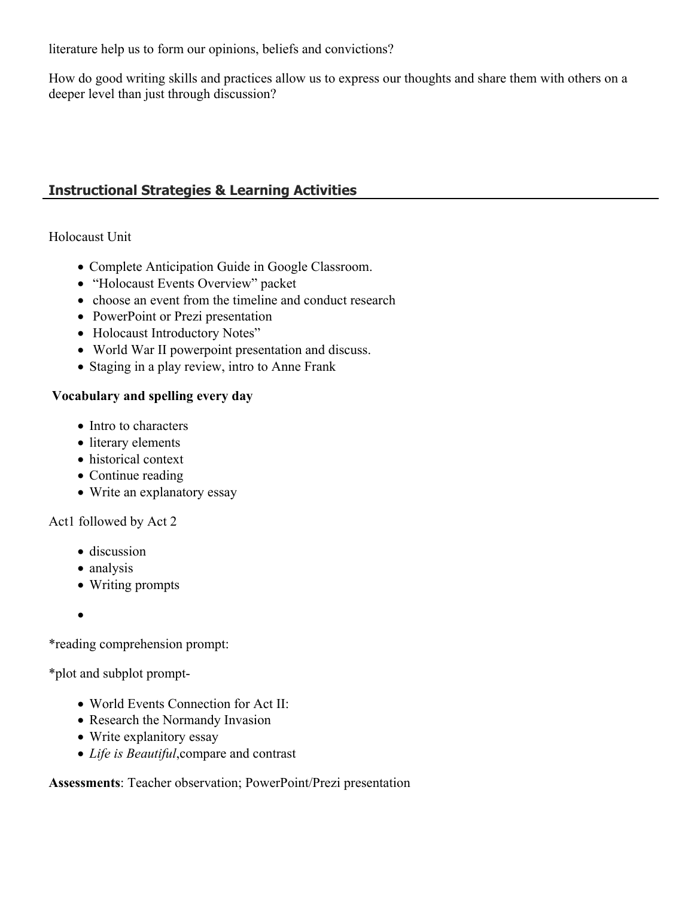literature help us to form our opinions, beliefs and convictions?

How do good writing skills and practices allow us to express our thoughts and share them with others on a deeper level than just through discussion?

# **Instructional Strategies & Learning Activities**

## Holocaust Unit

- Complete Anticipation Guide in Google Classroom.
- "Holocaust Events Overview" packet
- choose an event from the timeline and conduct research
- PowerPoint or Prezi presentation
- Holocaust Introductory Notes"
- World War II powerpoint presentation and discuss.
- Staging in a play review, intro to Anne Frank

## **Vocabulary and spelling every day**

- Intro to characters
- literary elements
- historical context
- Continue reading
- Write an explanatory essay

Act1 followed by Act 2

- discussion
- analysis
- Writing prompts
- $\bullet$

\*reading comprehension prompt:

\*plot and subplot prompt-

- World Events Connection for Act II:
- Research the Normandy Invasion
- Write explanitory essay
- *Life is Beautiful*,compare and contrast

**Assessments**: Teacher observation; PowerPoint/Prezi presentation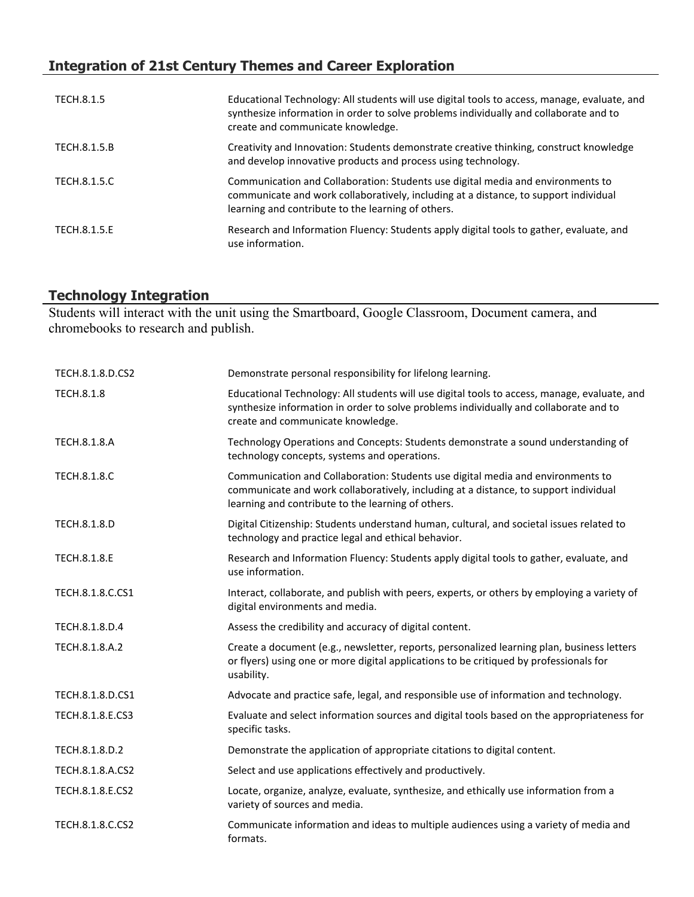# **Integration of 21st Century Themes and Career Exploration**

| TECH.8.1.5          | Educational Technology: All students will use digital tools to access, manage, evaluate, and<br>synthesize information in order to solve problems individually and collaborate and to<br>create and communicate knowledge.    |
|---------------------|-------------------------------------------------------------------------------------------------------------------------------------------------------------------------------------------------------------------------------|
| TECH.8.1.5.B        | Creativity and Innovation: Students demonstrate creative thinking, construct knowledge<br>and develop innovative products and process using technology.                                                                       |
| TECH.8.1.5.C        | Communication and Collaboration: Students use digital media and environments to<br>communicate and work collaboratively, including at a distance, to support individual<br>learning and contribute to the learning of others. |
| <b>TECH.8.1.5.E</b> | Research and Information Fluency: Students apply digital tools to gather, evaluate, and<br>use information.                                                                                                                   |

#### **Technology Integration**

Students will interact with the unit using the Smartboard, Google Classroom, Document camera, and chromebooks to research and publish.

| TECH.8.1.8.D.CS2    | Demonstrate personal responsibility for lifelong learning.                                                                                                                                                                    |
|---------------------|-------------------------------------------------------------------------------------------------------------------------------------------------------------------------------------------------------------------------------|
| TECH.8.1.8          | Educational Technology: All students will use digital tools to access, manage, evaluate, and<br>synthesize information in order to solve problems individually and collaborate and to<br>create and communicate knowledge.    |
| <b>TECH.8.1.8.A</b> | Technology Operations and Concepts: Students demonstrate a sound understanding of<br>technology concepts, systems and operations.                                                                                             |
| TECH.8.1.8.C        | Communication and Collaboration: Students use digital media and environments to<br>communicate and work collaboratively, including at a distance, to support individual<br>learning and contribute to the learning of others. |
| TECH.8.1.8.D        | Digital Citizenship: Students understand human, cultural, and societal issues related to<br>technology and practice legal and ethical behavior.                                                                               |
| TECH.8.1.8.E        | Research and Information Fluency: Students apply digital tools to gather, evaluate, and<br>use information.                                                                                                                   |
| TECH.8.1.8.C.CS1    | Interact, collaborate, and publish with peers, experts, or others by employing a variety of<br>digital environments and media.                                                                                                |
| TECH.8.1.8.D.4      | Assess the credibility and accuracy of digital content.                                                                                                                                                                       |
| TECH.8.1.8.A.2      | Create a document (e.g., newsletter, reports, personalized learning plan, business letters<br>or flyers) using one or more digital applications to be critiqued by professionals for<br>usability.                            |
| TECH.8.1.8.D.CS1    | Advocate and practice safe, legal, and responsible use of information and technology.                                                                                                                                         |
| TECH.8.1.8.E.CS3    | Evaluate and select information sources and digital tools based on the appropriateness for<br>specific tasks.                                                                                                                 |
| TECH.8.1.8.D.2      | Demonstrate the application of appropriate citations to digital content.                                                                                                                                                      |
| TECH.8.1.8.A.CS2    | Select and use applications effectively and productively.                                                                                                                                                                     |
| TECH.8.1.8.E.CS2    | Locate, organize, analyze, evaluate, synthesize, and ethically use information from a<br>variety of sources and media.                                                                                                        |
| TECH.8.1.8.C.CS2    | Communicate information and ideas to multiple audiences using a variety of media and<br>formats.                                                                                                                              |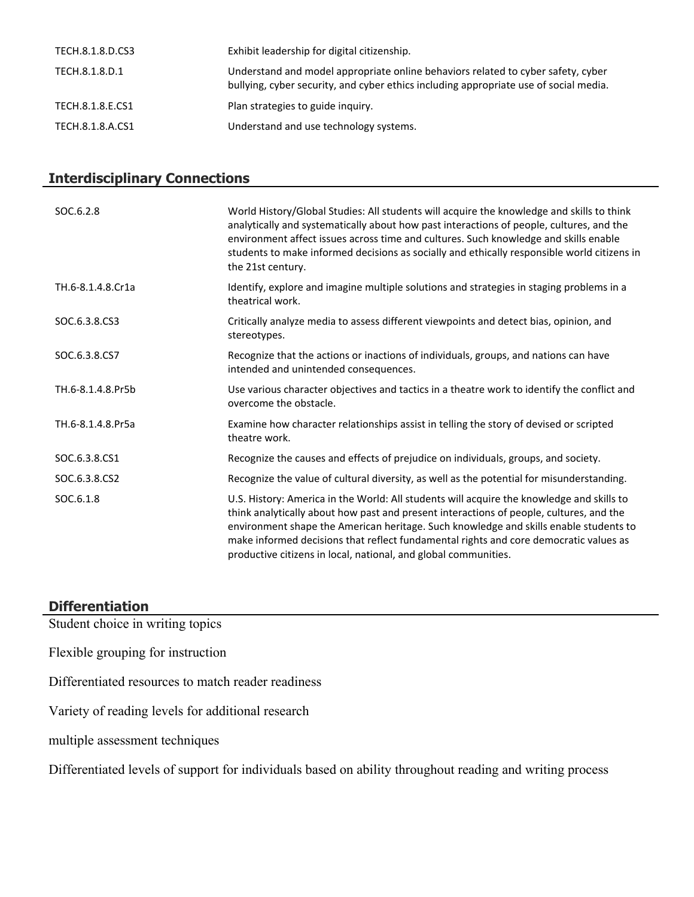| TECH.8.1.8.D.CS3 | Exhibit leadership for digital citizenship.                                                                                                                               |
|------------------|---------------------------------------------------------------------------------------------------------------------------------------------------------------------------|
| TECH.8.1.8.D.1   | Understand and model appropriate online behaviors related to cyber safety, cyber<br>bullying, cyber security, and cyber ethics including appropriate use of social media. |
| TECH.8.1.8.E.CS1 | Plan strategies to guide inquiry.                                                                                                                                         |
| TECH.8.1.8.A.CS1 | Understand and use technology systems.                                                                                                                                    |

# **Interdisciplinary Connections**

| SOC.6.2.8         | World History/Global Studies: All students will acquire the knowledge and skills to think<br>analytically and systematically about how past interactions of people, cultures, and the<br>environment affect issues across time and cultures. Such knowledge and skills enable<br>students to make informed decisions as socially and ethically responsible world citizens in<br>the 21st century.                                         |
|-------------------|-------------------------------------------------------------------------------------------------------------------------------------------------------------------------------------------------------------------------------------------------------------------------------------------------------------------------------------------------------------------------------------------------------------------------------------------|
| TH.6-8.1.4.8.Cr1a | Identify, explore and imagine multiple solutions and strategies in staging problems in a<br>theatrical work.                                                                                                                                                                                                                                                                                                                              |
| SOC.6.3.8.CS3     | Critically analyze media to assess different viewpoints and detect bias, opinion, and<br>stereotypes.                                                                                                                                                                                                                                                                                                                                     |
| SOC.6.3.8.CS7     | Recognize that the actions or inactions of individuals, groups, and nations can have<br>intended and unintended consequences.                                                                                                                                                                                                                                                                                                             |
| TH.6-8.1.4.8.Pr5b | Use various character objectives and tactics in a theatre work to identify the conflict and<br>overcome the obstacle.                                                                                                                                                                                                                                                                                                                     |
| TH.6-8.1.4.8.Pr5a | Examine how character relationships assist in telling the story of devised or scripted<br>theatre work.                                                                                                                                                                                                                                                                                                                                   |
| SOC.6.3.8.CS1     | Recognize the causes and effects of prejudice on individuals, groups, and society.                                                                                                                                                                                                                                                                                                                                                        |
| SOC.6.3.8.CS2     | Recognize the value of cultural diversity, as well as the potential for misunderstanding.                                                                                                                                                                                                                                                                                                                                                 |
| SOC.6.1.8         | U.S. History: America in the World: All students will acquire the knowledge and skills to<br>think analytically about how past and present interactions of people, cultures, and the<br>environment shape the American heritage. Such knowledge and skills enable students to<br>make informed decisions that reflect fundamental rights and core democratic values as<br>productive citizens in local, national, and global communities. |

# **Differentiation**

Student choice in writing topics

Flexible grouping for instruction

Differentiated resources to match reader readiness

Variety of reading levels for additional research

multiple assessment techniques

Differentiated levels of support for individuals based on ability throughout reading and writing process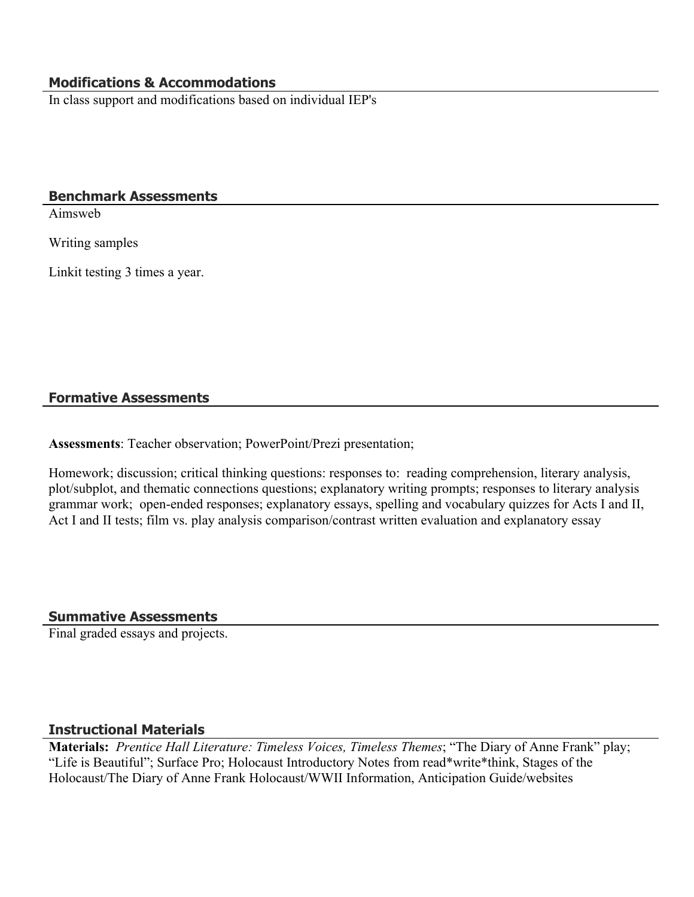## **Modifications & Accommodations**

In class support and modifications based on individual IEP's

#### **Benchmark Assessments**

Aimsweb

Writing samples

Linkit testing 3 times a year.

#### **Formative Assessments**

**Assessments**: Teacher observation; PowerPoint/Prezi presentation;

Homework; discussion; critical thinking questions: responses to: reading comprehension, literary analysis, plot/subplot, and thematic connections questions; explanatory writing prompts; responses to literary analysis grammar work; open-ended responses; explanatory essays, spelling and vocabulary quizzes for Acts I and II, Act I and II tests; film vs. play analysis comparison/contrast written evaluation and explanatory essay

#### **Summative Assessments**

Final graded essays and projects.

#### **Instructional Materials**

**Materials:** *Prentice Hall Literature: Timeless Voices, Timeless Themes*; "The Diary of Anne Frank" play; "Life is Beautiful"; Surface Pro; Holocaust Introductory Notes from read\*write\*think, Stages of the Holocaust/The Diary of Anne Frank Holocaust/WWII Information, Anticipation Guide/websites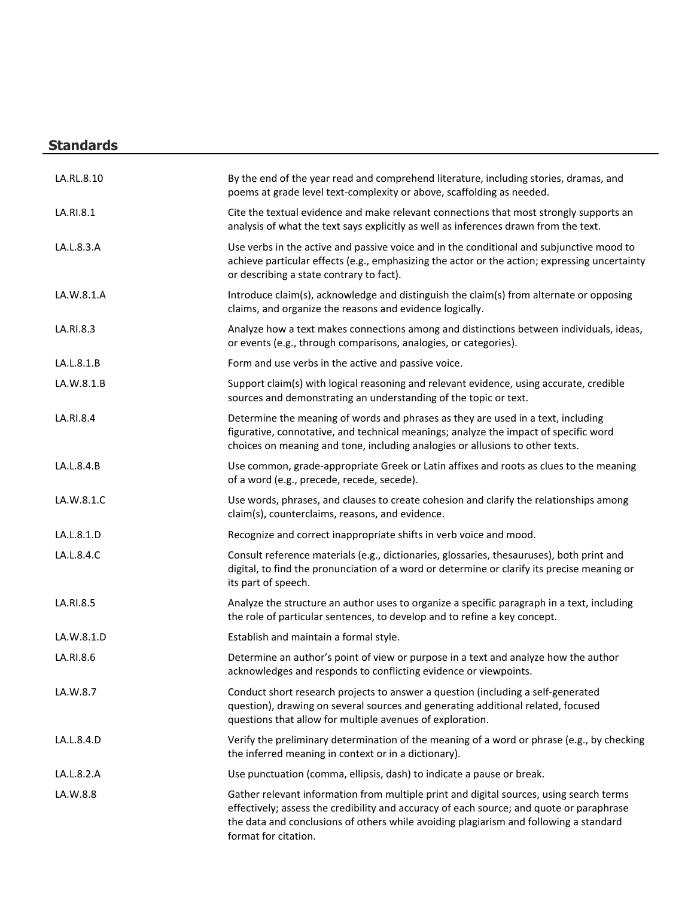# **Standards**

| LA.RL.8.10 | By the end of the year read and comprehend literature, including stories, dramas, and<br>poems at grade level text-complexity or above, scaffolding as needed.                                                                                                                                       |
|------------|------------------------------------------------------------------------------------------------------------------------------------------------------------------------------------------------------------------------------------------------------------------------------------------------------|
| LA.RI.8.1  | Cite the textual evidence and make relevant connections that most strongly supports an<br>analysis of what the text says explicitly as well as inferences drawn from the text.                                                                                                                       |
| LA.L.8.3.A | Use verbs in the active and passive voice and in the conditional and subjunctive mood to<br>achieve particular effects (e.g., emphasizing the actor or the action; expressing uncertainty<br>or describing a state contrary to fact).                                                                |
| LA.W.8.1.A | Introduce claim(s), acknowledge and distinguish the claim(s) from alternate or opposing<br>claims, and organize the reasons and evidence logically.                                                                                                                                                  |
| LA.RI.8.3  | Analyze how a text makes connections among and distinctions between individuals, ideas,<br>or events (e.g., through comparisons, analogies, or categories).                                                                                                                                          |
| LA.L.8.1.B | Form and use verbs in the active and passive voice.                                                                                                                                                                                                                                                  |
| LA.W.8.1.B | Support claim(s) with logical reasoning and relevant evidence, using accurate, credible<br>sources and demonstrating an understanding of the topic or text.                                                                                                                                          |
| LA.RI.8.4  | Determine the meaning of words and phrases as they are used in a text, including<br>figurative, connotative, and technical meanings; analyze the impact of specific word<br>choices on meaning and tone, including analogies or allusions to other texts.                                            |
| LA.L.8.4.B | Use common, grade-appropriate Greek or Latin affixes and roots as clues to the meaning<br>of a word (e.g., precede, recede, secede).                                                                                                                                                                 |
| LA.W.8.1.C | Use words, phrases, and clauses to create cohesion and clarify the relationships among<br>claim(s), counterclaims, reasons, and evidence.                                                                                                                                                            |
| LA.L.8.1.D | Recognize and correct inappropriate shifts in verb voice and mood.                                                                                                                                                                                                                                   |
| LA.L.8.4.C | Consult reference materials (e.g., dictionaries, glossaries, thesauruses), both print and<br>digital, to find the pronunciation of a word or determine or clarify its precise meaning or<br>its part of speech.                                                                                      |
| LA.RI.8.5  | Analyze the structure an author uses to organize a specific paragraph in a text, including<br>the role of particular sentences, to develop and to refine a key concept.                                                                                                                              |
| LA.W.8.1.D | Establish and maintain a formal style.                                                                                                                                                                                                                                                               |
| LA.RI.8.6  | Determine an author's point of view or purpose in a text and analyze how the author<br>acknowledges and responds to conflicting evidence or viewpoints.                                                                                                                                              |
| LA.W.8.7   | Conduct short research projects to answer a question (including a self-generated<br>question), drawing on several sources and generating additional related, focused<br>questions that allow for multiple avenues of exploration.                                                                    |
| LA.L.8.4.D | Verify the preliminary determination of the meaning of a word or phrase (e.g., by checking<br>the inferred meaning in context or in a dictionary).                                                                                                                                                   |
| LA.L.8.2.A | Use punctuation (comma, ellipsis, dash) to indicate a pause or break.                                                                                                                                                                                                                                |
| LA.W.8.8   | Gather relevant information from multiple print and digital sources, using search terms<br>effectively; assess the credibility and accuracy of each source; and quote or paraphrase<br>the data and conclusions of others while avoiding plagiarism and following a standard<br>format for citation. |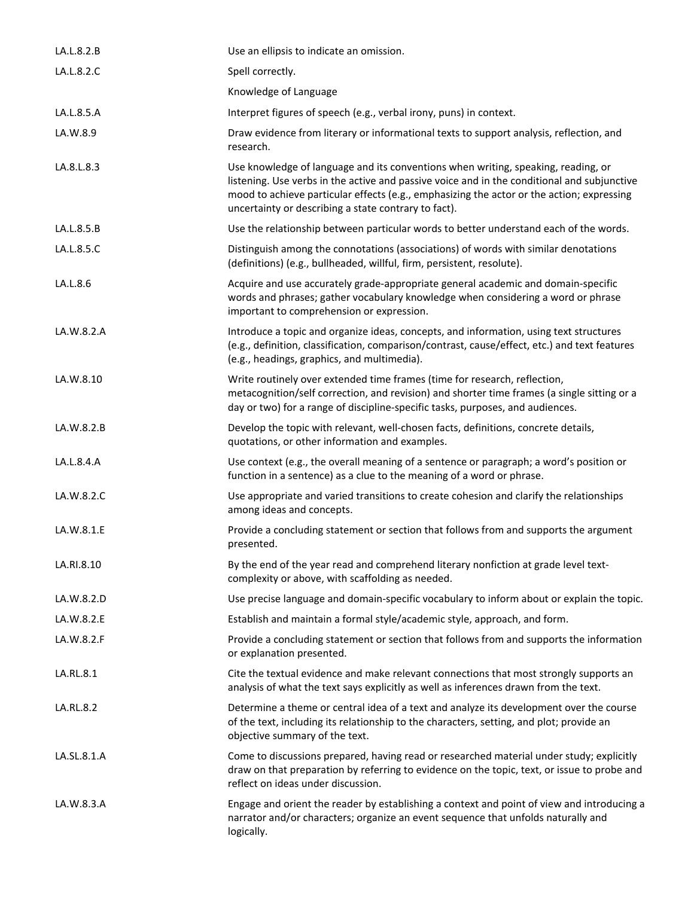| LA.L.8.2.B  | Use an ellipsis to indicate an omission.                                                                                                                                                                                                                                                                                              |
|-------------|---------------------------------------------------------------------------------------------------------------------------------------------------------------------------------------------------------------------------------------------------------------------------------------------------------------------------------------|
| LA.L.8.2.C  | Spell correctly.                                                                                                                                                                                                                                                                                                                      |
|             | Knowledge of Language                                                                                                                                                                                                                                                                                                                 |
| LA.L.8.5.A  | Interpret figures of speech (e.g., verbal irony, puns) in context.                                                                                                                                                                                                                                                                    |
| LA.W.8.9    | Draw evidence from literary or informational texts to support analysis, reflection, and<br>research.                                                                                                                                                                                                                                  |
| LA.8.L.8.3  | Use knowledge of language and its conventions when writing, speaking, reading, or<br>listening. Use verbs in the active and passive voice and in the conditional and subjunctive<br>mood to achieve particular effects (e.g., emphasizing the actor or the action; expressing<br>uncertainty or describing a state contrary to fact). |
| LA.L.8.5.B  | Use the relationship between particular words to better understand each of the words.                                                                                                                                                                                                                                                 |
| LA.L.8.5.C  | Distinguish among the connotations (associations) of words with similar denotations<br>(definitions) (e.g., bullheaded, willful, firm, persistent, resolute).                                                                                                                                                                         |
| LA.L.8.6    | Acquire and use accurately grade-appropriate general academic and domain-specific<br>words and phrases; gather vocabulary knowledge when considering a word or phrase<br>important to comprehension or expression.                                                                                                                    |
| LA.W.8.2.A  | Introduce a topic and organize ideas, concepts, and information, using text structures<br>(e.g., definition, classification, comparison/contrast, cause/effect, etc.) and text features<br>(e.g., headings, graphics, and multimedia).                                                                                                |
| LA.W.8.10   | Write routinely over extended time frames (time for research, reflection,<br>metacognition/self correction, and revision) and shorter time frames (a single sitting or a<br>day or two) for a range of discipline-specific tasks, purposes, and audiences.                                                                            |
| LA.W.8.2.B  | Develop the topic with relevant, well-chosen facts, definitions, concrete details,<br>quotations, or other information and examples.                                                                                                                                                                                                  |
| LA.L.8.4.A  | Use context (e.g., the overall meaning of a sentence or paragraph; a word's position or<br>function in a sentence) as a clue to the meaning of a word or phrase.                                                                                                                                                                      |
| LA.W.8.2.C  | Use appropriate and varied transitions to create cohesion and clarify the relationships<br>among ideas and concepts.                                                                                                                                                                                                                  |
| LA.W.8.1.E  | Provide a concluding statement or section that follows from and supports the argument<br>presented.                                                                                                                                                                                                                                   |
| LA.RI.8.10  | By the end of the year read and comprehend literary nonfiction at grade level text-<br>complexity or above, with scaffolding as needed.                                                                                                                                                                                               |
| LA.W.8.2.D  | Use precise language and domain-specific vocabulary to inform about or explain the topic.                                                                                                                                                                                                                                             |
| LA.W.8.2.E  | Establish and maintain a formal style/academic style, approach, and form.                                                                                                                                                                                                                                                             |
| LA.W.8.2.F  | Provide a concluding statement or section that follows from and supports the information<br>or explanation presented.                                                                                                                                                                                                                 |
| LA.RL.8.1   | Cite the textual evidence and make relevant connections that most strongly supports an<br>analysis of what the text says explicitly as well as inferences drawn from the text.                                                                                                                                                        |
| LA.RL.8.2   | Determine a theme or central idea of a text and analyze its development over the course<br>of the text, including its relationship to the characters, setting, and plot; provide an<br>objective summary of the text.                                                                                                                 |
| LA.SL.8.1.A | Come to discussions prepared, having read or researched material under study; explicitly<br>draw on that preparation by referring to evidence on the topic, text, or issue to probe and<br>reflect on ideas under discussion.                                                                                                         |
| LA.W.8.3.A  | Engage and orient the reader by establishing a context and point of view and introducing a<br>narrator and/or characters; organize an event sequence that unfolds naturally and<br>logically.                                                                                                                                         |